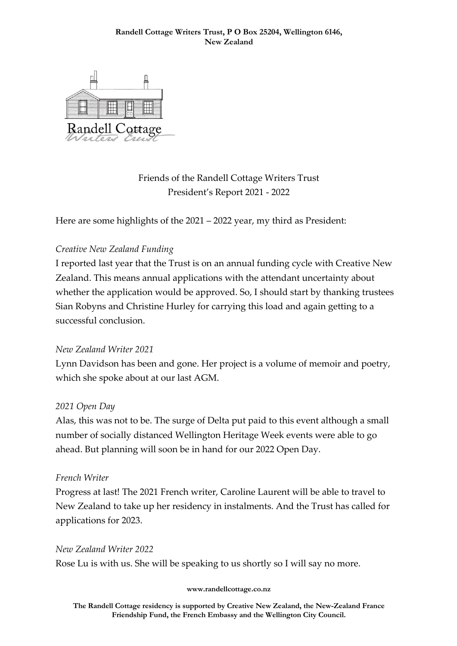

Friends of the Randell Cottage Writers Trust President's Report 2021 - 2022

Here are some highlights of the 2021 – 2022 year, my third as President:

# *Creative New Zealand Funding*

I reported last year that the Trust is on an annual funding cycle with Creative New Zealand. This means annual applications with the attendant uncertainty about whether the application would be approved. So, I should start by thanking trustees Sian Robyns and Christine Hurley for carrying this load and again getting to a successful conclusion.

### *New Zealand Writer 2021*

Lynn Davidson has been and gone. Her project is a volume of memoir and poetry, which she spoke about at our last AGM.

### *2021 Open Day*

Alas, this was not to be. The surge of Delta put paid to this event although a small number of socially distanced Wellington Heritage Week events were able to go ahead. But planning will soon be in hand for our 2022 Open Day.

### *French Writer*

Progress at last! The 2021 French writer, Caroline Laurent will be able to travel to New Zealand to take up her residency in instalments. And the Trust has called for applications for 2023.

### *New Zealand Writer 2022*

Rose Lu is with us. She will be speaking to us shortly so I will say no more.

#### **www.randellcottage.co.nz**

**The Randell Cottage residency is supported by Creative New Zealand, the New-Zealand France Friendship Fund, the French Embassy and the Wellington City Council.**